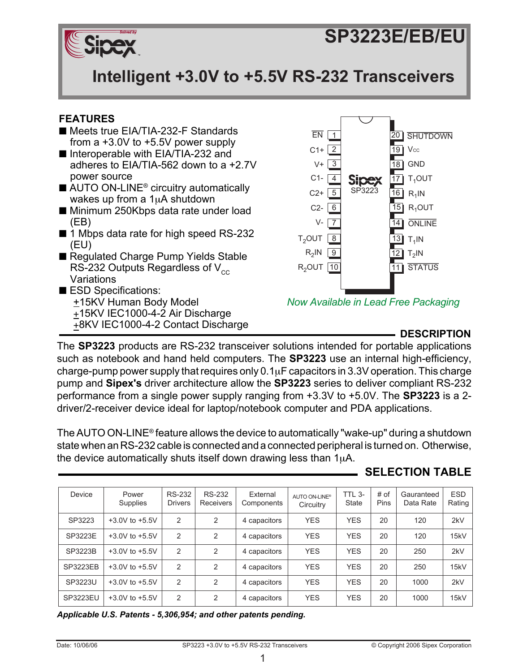# **SP3223E/EB/EU** *Solved by* **SP3223E/EB/EU**



**Intelligent +3.0V to +5.5V RS-232 Transceivers Intelligent +3.0V to +5.5V RS-232 Transceivers**

# **FEATURES**

- Meets true EIA/TIA-232-F Standards from a +3.0V to +5.5V power supply
- Interoperable with EIA/TIA-232 and adheres to EIA/TIA-562 down to a +2.7V power source
- AUTO ON-LINE<sup>®</sup> circuitry automatically wakes up from a 1uA shutdown
- Minimum 250Kbps data rate under load (EB)
- 1 Mbps data rate for high speed RS-232 (EU)
- Regulated Charge Pump Yields Stable RS-232 Outputs Regardless of  $V_{cc}$ Variations
- ESD Specifications: +15KV Human Body Model +15KV IEC1000-4-2 Air Discharge <sup>+</sup>8KV IEC1000-4-2 Contact Discharge **DESCRIPTION**



*Now Available in Lead Free Packaging*

The **SP3223** products are RS-232 transceiver solutions intended for portable applications such as notebook and hand held computers. The **SP3223** use an internal high-efficiency, charge-pump power supply that requires only  $0.1\mu$ F capacitors in 3.3V operation. This charge pump and **Sipex's** driver architecture allow the **SP3223** series to deliver compliant RS-232 performance from a single power supply ranging from +3.3V to +5.0V. The **SP3223** is a 2 driver/2-receiver device ideal for laptop/notebook computer and PDA applications.

The AUTO ON-LINE® feature allows the device to automatically "wake-up" during a shutdown state when an RS-232 cable is connected and a connected peripheral is turned on. Otherwise, the device automatically shuts itself down drawing less than  $1\mu$ A.

# **SELECTION TABLE**

| Device          | Power<br>Supplies  | <b>RS-232</b><br><b>Drivers</b> | <b>RS-232</b><br><b>Receivers</b> | External<br>Components | AUTO ON-LINE®<br>Circuitry | <b>TTL 3-</b><br><b>State</b> | # of<br>Pins | Gauranteed<br>Data Rate | <b>ESD</b><br>Rating |
|-----------------|--------------------|---------------------------------|-----------------------------------|------------------------|----------------------------|-------------------------------|--------------|-------------------------|----------------------|
| SP3223          | $+3.0V$ to $+5.5V$ | 2                               | 2                                 | 4 capacitors           | <b>YES</b>                 | <b>YES</b>                    | 20           | 120                     | 2kV                  |
| SP3223E         | $+3.0V$ to $+5.5V$ | $\mathfrak{p}$                  | 2                                 | 4 capacitors           | <b>YES</b>                 | <b>YES</b>                    | 20           | 120                     | 15kV                 |
| SP3223B         | $+3.0V$ to $+5.5V$ | $\overline{2}$                  | 2                                 | 4 capacitors           | <b>YES</b>                 | <b>YES</b>                    | 20           | 250                     | 2kV                  |
| <b>SP3223EB</b> | $+3.0V$ to $+5.5V$ | $\mathfrak{p}$                  | 2                                 | 4 capacitors           | <b>YES</b>                 | <b>YES</b>                    | 20           | 250                     | 15kV                 |
| SP3223U         | $+3.0V$ to $+5.5V$ | $\mathcal{P}$                   | 2                                 | 4 capacitors           | <b>YES</b>                 | <b>YES</b>                    | 20           | 1000                    | 2kV                  |
| SP3223EU        | $+3.0V$ to $+5.5V$ | 2                               | 2                                 | 4 capacitors           | <b>YES</b>                 | <b>YES</b>                    | 20           | 1000                    | 15kV                 |

*Applicable U.S. Patents - 5,306,954; and other patents pending.*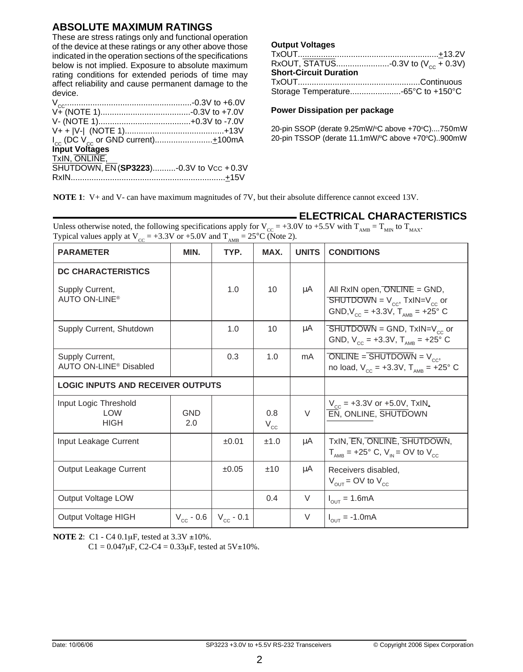# **ABSOLUTE MAXIMUM RATINGS**

These are stress ratings only and functional operation of the device at these ratings or any other above those indicated in the operation sections of the specifications below is not implied. Exposure to absolute maximum rating conditions for extended periods of time may affect reliability and cause permanent damage to the device.

| Input Voltages                          |  |
|-----------------------------------------|--|
| TxIN, ONLINE,                           |  |
| SHUTDOWN, EN (SP3223)-0.3V to Vcc +0.3V |  |
|                                         |  |
|                                         |  |

#### **Output Voltages**

| RxOUT, $\overline{STAT}$ US0.3V to (V <sub>cc</sub> + 0.3V) |  |
|-------------------------------------------------------------|--|
| <b>Short-Circuit Duration</b>                               |  |
|                                                             |  |
|                                                             |  |

#### **Power Dissipation per package**

20-pin SSOP (derate 9.25mW/°C above +70°C)....750mW 20-pin TSSOP (derate 11.1mW/°C above +70°C)..900mW

**ELECTRICAL CHARACTERISTICS**

**NOTE 1**: V+ and V- can have maximum magnitudes of 7V, but their absolute difference cannot exceed 13V.

| <b>PARAMETER</b>                                                          | MIN.              | TYP.           | MAX.                | <b>UNITS</b> | <b>CONDITIONS</b>                                                                                                                                        |
|---------------------------------------------------------------------------|-------------------|----------------|---------------------|--------------|----------------------------------------------------------------------------------------------------------------------------------------------------------|
| <b>DC CHARACTERISTICS</b><br>Supply Current,<br>AUTO ON-LINE <sup>®</sup> |                   | 1.0            | 10 <sup>1</sup>     | μA           | All $RxIN$ open, $ONLINE = GND$ ,<br>$\overline{\text{SHUTDOWN}} = V_{\text{cc}}$ , TxIN=V <sub>cc</sub> or<br>GND, $V_{CC}$ = +3.3V, $T_{AMB}$ = +25° C |
| Supply Current, Shutdown                                                  |                   | 1.0            | 10                  | μA           | $SHUTDOWN = GND, TxIN=V_{cc}$ or<br>GND, $V_{\text{cc}} = +3.3V$ , $T_{\text{AMB}} = +25^{\circ}$ C                                                      |
| Supply Current,<br>AUTO ON-LINE <sup>®</sup> Disabled                     |                   | 0.3            | 1.0                 | mA           | ONLINE = SHUTDOWN = $V_{cc}$ ,<br>no load, $V_{cc} = +3.3V$ , $T_{AMB} = +25^{\circ}$ C                                                                  |
| <b>LOGIC INPUTS AND RECEIVER OUTPUTS</b>                                  |                   |                |                     |              |                                                                                                                                                          |
| Input Logic Threshold<br><b>LOW</b><br><b>HIGH</b>                        | <b>GND</b><br>2.0 |                | 0.8<br>$V_{\rm cc}$ | $\vee$       | $V_{\text{cc}}$ = +3.3V or +5.0V, TxIN,<br>EN, ONLINE, SHUTDOWN                                                                                          |
| Input Leakage Current                                                     |                   | ±0.01          | ±1.0                | μA           | TxIN, EN, ONLINE, SHUTDOWN,<br>$T_{\text{AMB}}$ = +25° C, V <sub>IN</sub> = OV to V <sub>CC</sub>                                                        |
| Output Leakage Current                                                    |                   | ±0.05          | ±10                 | μA           | Receivers disabled,<br>$V_{\text{out}}$ = OV to $V_{\text{cc}}$                                                                                          |
| Output Voltage LOW                                                        |                   |                | 0.4                 | V            | $I_{OUT} = 1.6mA$                                                                                                                                        |
| <b>Output Voltage HIGH</b>                                                | $V_{cc}$ - 0.6    | $V_{cc}$ - 0.1 |                     | V            | $I_{\text{out}} = -1.0 \text{mA}$                                                                                                                        |

Unless otherwise noted, the following specifications apply for  $V_{CC} = +3.0V$  to  $+5.5V$  with  $T_{AMB} = T_{MIN}$  to  $T_{MAX}$ .<br>Typical values apply at  $V = +3.3V$  or  $+5.0V$  and  $T = -25\degree C$ . (Note 2)

**NOTE 2**: C1 - C4 0.1µF, tested at 3.3V ±10%.

 $C1 = 0.047 \mu$ F, C2-C4 = 0.33 $\mu$ F, tested at 5V $\pm$ 10%.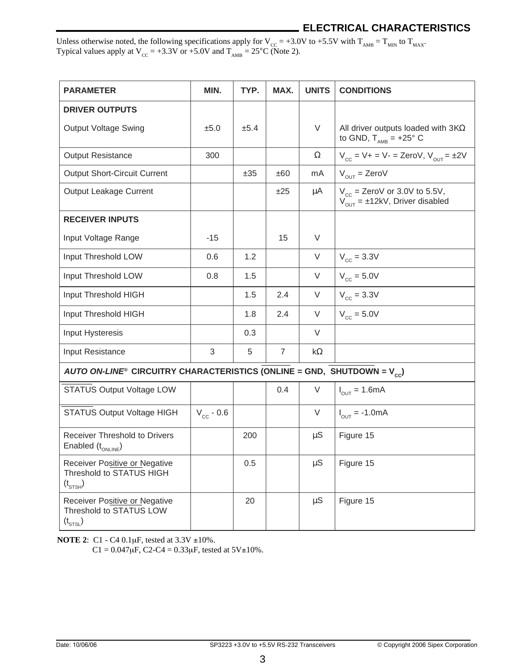# **ELECTRICAL CHARACTERISTICS**

Unless otherwise noted, the following specifications apply for  $V_{CC} = +3.0V$  to  $+5.5V$  with  $T_{AMB} = T_{MIN}$  to  $T_{MAX}$ . Typical values apply at  $V_{\text{cc}} = +3.3V$  or  $+5.0V$  and  $T_{\text{AMB}} = 25^{\circ}\text{C}$  (Note 2).

| <b>PARAMETER</b>                                                                 | MIN.           | TYP. | MAX.           | <b>UNITS</b> | <b>CONDITIONS</b>                                                                          |
|----------------------------------------------------------------------------------|----------------|------|----------------|--------------|--------------------------------------------------------------------------------------------|
| <b>DRIVER OUTPUTS</b>                                                            |                |      |                |              |                                                                                            |
| Output Voltage Swing                                                             | ±5.0           | ±5.4 |                | V            | All driver outputs loaded with $3K\Omega$<br>to GND, $T_{\text{AMB}}$ = +25° C             |
| <b>Output Resistance</b>                                                         | 300            |      |                | Ω            | $V_{cc} = V + = V - =$ ZeroV, $V_{OUT} = \pm 2V$                                           |
| <b>Output Short-Circuit Current</b>                                              |                | ±35  | ±60            | mA           | $V_{\text{out}} = \text{Zero}V$                                                            |
| Output Leakage Current                                                           |                |      | ±25            | μA           | $V_{cc}$ = ZeroV or 3.0V to 5.5V,<br>$V_{\text{out}} = \pm 12 \text{kV}$ , Driver disabled |
| <b>RECEIVER INPUTS</b>                                                           |                |      |                |              |                                                                                            |
| Input Voltage Range                                                              | $-15$          |      | 15             | $\vee$       |                                                                                            |
| Input Threshold LOW                                                              | 0.6            | 1.2  |                | V            | $V_{cc} = 3.3V$                                                                            |
| Input Threshold LOW                                                              | 0.8            | 1.5  |                | V            | $V_{cc} = 5.0V$                                                                            |
| Input Threshold HIGH                                                             |                | 1.5  | 2.4            | V            | $V_{cc} = 3.3V$                                                                            |
| Input Threshold HIGH                                                             |                | 1.8  | 2.4            | V            | $V_{cc} = 5.0V$                                                                            |
| Input Hysteresis                                                                 |                | 0.3  |                | V            |                                                                                            |
| Input Resistance                                                                 | 3              | 5    | $\overline{7}$ | kΩ           |                                                                                            |
| AUTO ON-LINE® CIRCUITRY CHARACTERISTICS (ONLINE = GND, SHUTDOWN = $V_{c}$ )      |                |      |                |              |                                                                                            |
| STATUS Output Voltage LOW                                                        |                |      | 0.4            | V            | $I_{OUT} = 1.6mA$                                                                          |
| STATUS Output Voltage HIGH                                                       | $V_{cc}$ - 0.6 |      |                | V            | $I_{\text{out}} = -1.0 \text{mA}$                                                          |
| Receiver Threshold to Drivers<br>Enabled $(t_{ONLINE})$                          |                | 200  |                | $\upmu S$    | Figure 15                                                                                  |
| Receiver Positive or Negative<br>Threshold to STATUS HIGH<br>$(t_{\text{STSH}})$ |                | 0.5  |                | μS           | Figure 15                                                                                  |
| Receiver Positive or Negative<br>Threshold to STATUS LOW<br>$(t_{\text{STSL}})$  |                | 20   |                | $\upmu S$    | Figure 15                                                                                  |

**NOTE 2**: C1 - C4 0.1µF, tested at 3.3V ±10%.

 $C1 = 0.047 \mu F$ ,  $C2-C4 = 0.33 \mu F$ , tested at  $5V \pm 10\%$ .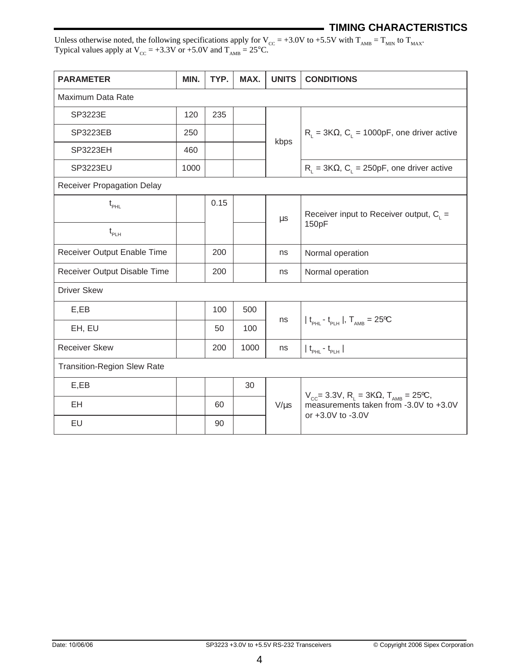# **TIMING CHARACTERISTICS**

Unless otherwise noted, the following specifications apply for  $V_{CC} = +3.0V$  to  $+5.5V$  with  $T_{AMB} = T_{MIN}$  to  $T_{MAX}$ . Typical values apply at  $V_{\text{cc}} = +3.3V$  or  $+5.0V$  and  $T_{\text{AMB}} = 25^{\circ}\text{C}$ .

| <b>PARAMETER</b>                   | MIN. | TYP. | MAX. | <b>UNITS</b> | <b>CONDITIONS</b>                                                                                                                              |  |
|------------------------------------|------|------|------|--------------|------------------------------------------------------------------------------------------------------------------------------------------------|--|
| Maximum Data Rate                  |      |      |      |              |                                                                                                                                                |  |
| SP3223E                            | 120  | 235  |      |              |                                                                                                                                                |  |
| SP3223EB                           | 250  |      |      | kbps         | $R_1 = 3K\Omega$ , C <sub>L</sub> = 1000pF, one driver active                                                                                  |  |
| SP3223EH                           | 460  |      |      |              |                                                                                                                                                |  |
| SP3223EU                           | 1000 |      |      |              | $R_L$ = 3K $\Omega$ , $C_L$ = 250pF, one driver active                                                                                         |  |
| Receiver Propagation Delay         |      |      |      |              |                                                                                                                                                |  |
| $t_{\mbox{\tiny{PHL}}}$            |      | 0.15 |      |              |                                                                                                                                                |  |
|                                    |      |      |      | μs           | Receiver input to Receiver output, $C_i$ =<br>150pF                                                                                            |  |
| $t_{\text{PLH}}$                   |      |      |      |              |                                                                                                                                                |  |
| Receiver Output Enable Time        |      | 200  |      | ns           | Normal operation                                                                                                                               |  |
| Receiver Output Disable Time       |      | 200  |      | ns           | Normal operation                                                                                                                               |  |
| <b>Driver Skew</b>                 |      |      |      |              |                                                                                                                                                |  |
| E,EB                               |      | 100  | 500  |              |                                                                                                                                                |  |
| EH, EU                             |      | 50   | 100  | ns           | $ t_{\text{PHL}} - t_{\text{PHH}} $ , $T_{\text{AMB}} = 25$ °C                                                                                 |  |
| <b>Receiver Skew</b>               |      | 200  | 1000 | ns           | $ t_{\text{pH}} - t_{\text{pL}} $                                                                                                              |  |
| <b>Transition-Region Slew Rate</b> |      |      |      |              |                                                                                                                                                |  |
| E, EB                              |      |      | 30   |              |                                                                                                                                                |  |
| EH                                 |      | 60   |      | $V/\mu s$    | $V_{\text{cc}}$ = 3.3V, R <sub>L</sub> = 3K $\Omega$ , T <sub>AMB</sub> = 25°C,<br>measurements taken from -3.0V to +3.0V<br>or +3.0V to -3.0V |  |
| EU                                 |      | 90   |      |              |                                                                                                                                                |  |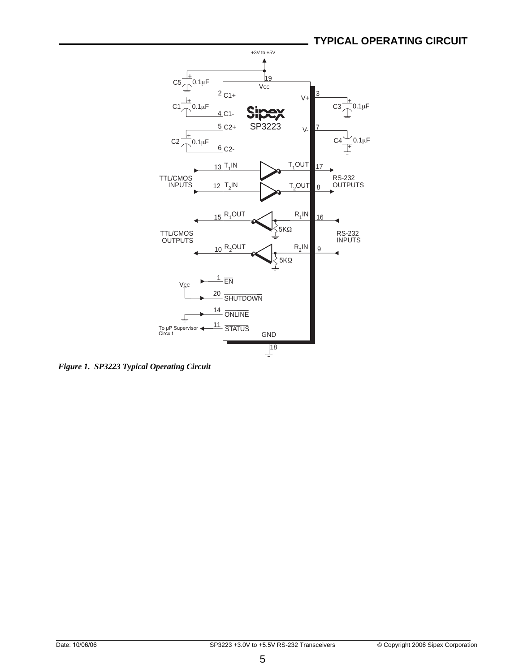

*Figure 1. SP3223 Typical Operating Circuit*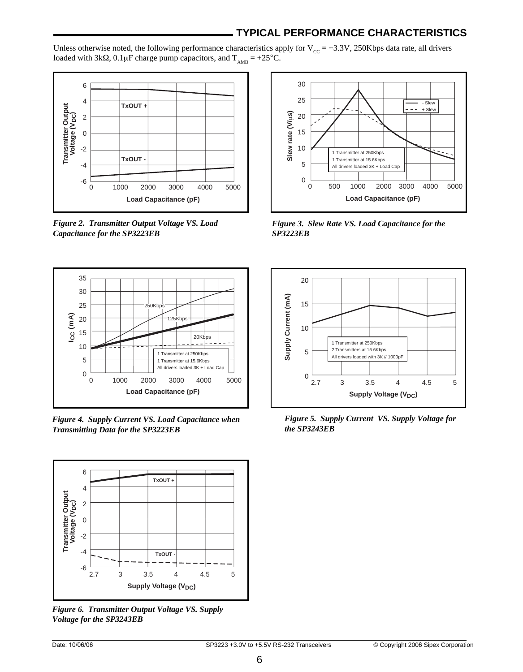# **TYPICAL PERFORMANCE CHARACTERISTICS**

Unless otherwise noted, the following performance characteristics apply for  $V_{\text{cc}} = +3.3V$ , 250Kbps data rate, all drivers loaded with 3kΩ, 0.1µF charge pump capacitors, and  $T_{AMB} = +25^{\circ}C$ .



*Figure 2. Transmitter Output Voltage VS. Load Capacitance for the SP3223EB*



*Figure 4. Supply Current VS. Load Capacitance when Transmitting Data for the SP3223EB*



*Figure 6. Transmitter Output Voltage VS. Supply Voltage for the SP3243EB*



*Figure 3. Slew Rate VS. Load Capacitance for the SP3223EB*



*Figure 5. Supply Current VS. Supply Voltage for the SP3243EB*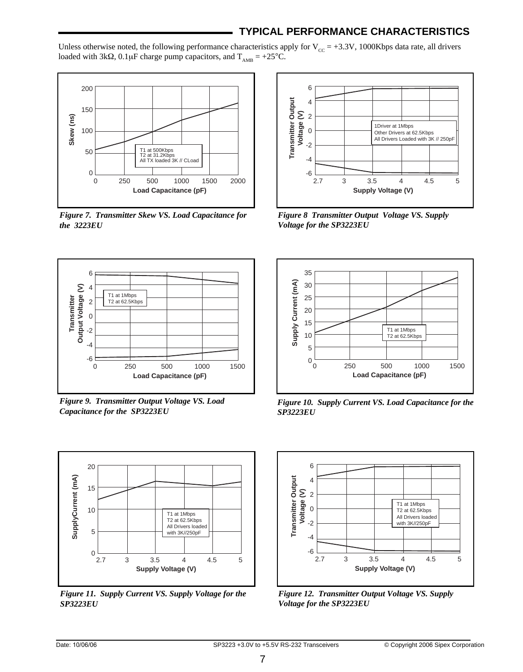# **TYPICAL PERFORMANCE CHARACTERISTICS**

Unless otherwise noted, the following performance characteristics apply for  $V_{cc} = +3.3V$ , 1000Kbps data rate, all drivers loaded with 3kΩ, 0.1µF charge pump capacitors, and  $T_{\text{AMB}} = +25^{\circ}C$ .



*Figure 7. Transmitter Skew VS. Load Capacitance for the 3223EU*



*Figure 9. Transmitter Output Voltage VS. Load Capacitance for the SP3223EU*



*Figure 11. Supply Current VS. Supply Voltage for the SP3223EU*



*Figure 8 Transmitter Output Voltage VS. Supply Voltage for the SP3223EU*



*Figure 10. Supply Current VS. Load Capacitance for the SP3223EU*



*Figure 12. Transmitter Output Voltage VS. Supply Voltage for the SP3223EU*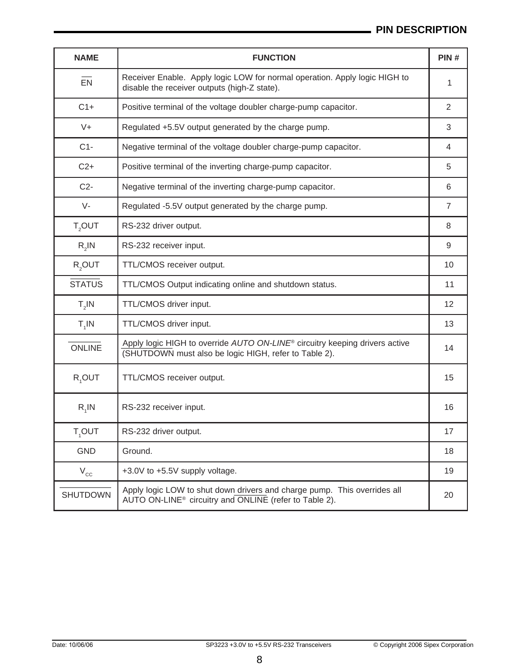# **PIN DESCRIPTION**

| <b>NAME</b>        | <b>FUNCTION</b>                                                                                                                                  | PIN# |
|--------------------|--------------------------------------------------------------------------------------------------------------------------------------------------|------|
| EN                 | Receiver Enable. Apply logic LOW for normal operation. Apply logic HIGH to<br>disable the receiver outputs (high-Z state).                       | 1    |
| $C1+$              | Positive terminal of the voltage doubler charge-pump capacitor.                                                                                  | 2    |
| $V +$              | Regulated +5.5V output generated by the charge pump.                                                                                             | 3    |
| $C1 -$             | Negative terminal of the voltage doubler charge-pump capacitor.                                                                                  | 4    |
| $C2+$              | Positive terminal of the inverting charge-pump capacitor.                                                                                        | 5    |
| $C2-$              | Negative terminal of the inverting charge-pump capacitor.                                                                                        | 6    |
| $V -$              | Regulated -5.5V output generated by the charge pump.                                                                                             | 7    |
| T <sub>2</sub> OUT | RS-232 driver output.                                                                                                                            | 8    |
| $R,$ IN            | RS-232 receiver input.                                                                                                                           | 9    |
| R <sub>2</sub> OUT | TTL/CMOS receiver output.                                                                                                                        | 10   |
| <b>STATUS</b>      | TTL/CMOS Output indicating online and shutdown status.                                                                                           | 11   |
| $T_{2}$ IN         | TTL/CMOS driver input.                                                                                                                           | 12   |
| $T_1$ IN           | TTL/CMOS driver input.                                                                                                                           | 13   |
| <b>ONLINE</b>      | Apply logic HIGH to override AUTO ON-LINE <sup>®</sup> circuitry keeping drivers active<br>(SHUTDOWN must also be logic HIGH, refer to Table 2). | 14   |
| R <sub>1</sub> OUT | TTL/CMOS receiver output.                                                                                                                        | 15   |
| $R_1$ IN           | RS-232 receiver input.                                                                                                                           | 16   |
| T,OUT              | RS-232 driver output.                                                                                                                            | 17   |
| <b>GND</b>         | Ground.                                                                                                                                          | 18   |
| $\rm V_{cc}$       | +3.0V to +5.5V supply voltage.                                                                                                                   | 19   |
| <b>SHUTDOWN</b>    | Apply logic LOW to shut down drivers and charge pump. This overrides all<br>AUTO ON-LINE <sup>®</sup> circuitry and ONLINE (refer to Table 2).   | 20   |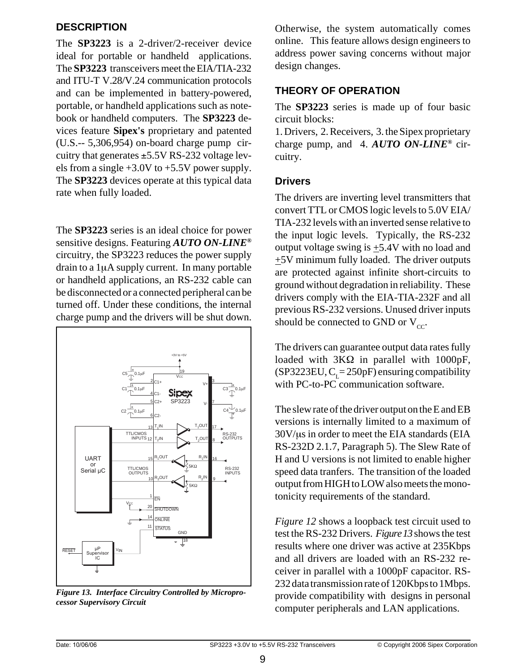# **DESCRIPTION**

The **SP3223** is a 2-driver/2-receiver device ideal for portable or handheld applications. The **SP3223** transceivers meet the EIA/TIA-232 and ITU-T V.28/V.24 communication protocols and can be implemented in battery-powered, portable, or handheld applications such as notebook or handheld computers. The **SP3223** devices feature **Sipex's** proprietary and patented (U.S.-- 5,306,954) on-board charge pump circuitry that generates ±5.5V RS-232 voltage levels from a single +3.0V to +5.5V power supply. The **SP3223** devices operate at this typical data rate when fully loaded.

The **SP3223** series is an ideal choice for power sensitive designs. Featuring *AUTO ON-LINE®* circuitry, the SP3223 reduces the power supply drain to a 1µA supply current. In many portable or handheld applications, an RS-232 cable can be disconnected or a connected peripheral can be turned off. Under these conditions, the internal charge pump and the drivers will be shut down.



*Figure 13. Interface Circuitry Controlled by Microprocessor Supervisory Circuit*

Otherwise, the system automatically comes online. This feature allows design engineers to address power saving concerns without major design changes.

# **THEORY OF OPERATION**

The **SP3223** series is made up of four basic circuit blocks:

1. Drivers, 2. Receivers, 3. the Sipex proprietary charge pump, and 4. *AUTO ON-LINE®* circuitry.

# **Drivers**

The drivers are inverting level transmitters that convert TTL or CMOS logic levels to 5.0V EIA/ TIA-232 levels with an inverted sense relative to the input logic levels. Typically, the RS-232 output voltage swing is  $\pm$ 5.4V with no load and  $\pm$ 5V minimum fully loaded. The driver outputs are protected against infinite short-circuits to ground without degradation in reliability. These drivers comply with the EIA-TIA-232F and all previous RS-232 versions. Unused driver inputs should be connected to GND or  $V_{cc}$ .

The drivers can guarantee output data rates fully loaded with 3KΩ in parallel with 1000pF, (SP3223EU,  $C_L$ = 250pF) ensuring compatibility with PC-to-PC communication software.

The slew rate of the driver output on the E and EB versions is internally limited to a maximum of 30V/µs in order to meet the EIA standards (EIA RS-232D 2.1.7, Paragraph 5). The Slew Rate of H and U versions is not limited to enable higher speed data tranfers. The transition of the loaded output from HIGH to LOW also meets the monotonicity requirements of the standard.

*Figure 12* shows a loopback test circuit used to test the RS-232 Drivers. *Figure 13* shows the test results where one driver was active at 235Kbps and all drivers are loaded with an RS-232 receiver in parallel with a 1000pF capacitor. RS-232 data transmission rate of 120Kbps to 1Mbps. provide compatibility with designs in personal computer peripherals and LAN applications.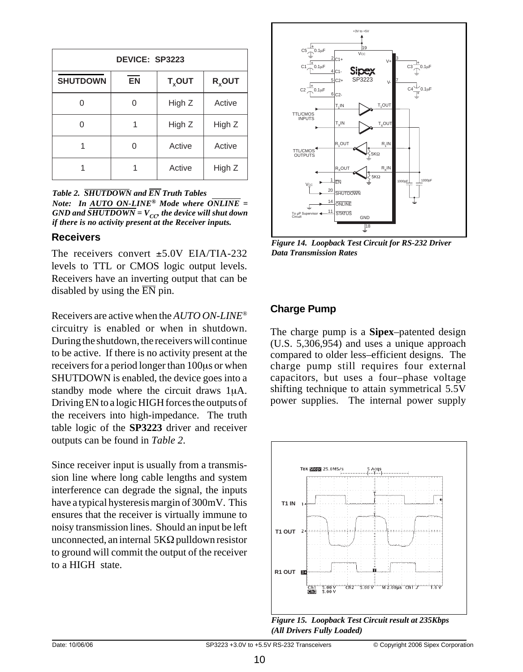| DEVICE: SP3223  |           |           |           |  |  |
|-----------------|-----------|-----------|-----------|--|--|
| <b>SHUTDOWN</b> | <b>EN</b> | $T_x$ OUT | $R_x$ OUT |  |  |
|                 |           | High Z    | Active    |  |  |
| ∩               |           | High Z    | High Z    |  |  |
|                 |           | Active    | Active    |  |  |
|                 |           | Active    | High Z    |  |  |

*Table 2. SHUTDOWN and EN Truth Tables Note: In AUTO ON-LINE® Mode where ONLINE =*  $GND$  and  $\overline{SHUTDOWN} = V_{CC}$  the device will shut down *if there is no activity present at the Receiver inputs.*

### **Receivers**

The receivers convert  $+5.0V$  EIA/TIA-232. levels to TTL or CMOS logic output levels. Receivers have an inverting output that can be disabled by using the  $\overline{EN}$  pin.

Receivers are active when the *AUTO ON-LINE®* circuitry is enabled or when in shutdown. During the shutdown, the receivers will continue to be active. If there is no activity present at the receivers for a period longer than 100µs or when SHUTDOWN is enabled, the device goes into a standby mode where the circuit draws 1µA. Driving EN to a logic HIGH forces the outputs of the receivers into high-impedance. The truth table logic of the **SP3223** driver and receiver outputs can be found in *Table 2*.

Since receiver input is usually from a transmission line where long cable lengths and system interference can degrade the signal, the inputs have a typical hysteresis margin of 300mV. This ensures that the receiver is virtually immune to noisy transmission lines. Should an input be left unconnected, an internal  $5K\Omega$  pulldown resistor to ground will commit the output of the receiver to a HIGH state.



*Figure 14. Loopback Test Circuit for RS-232 Driver Data Transmission Rates*

# **Charge Pump**

The charge pump is a **Sipex**–patented design (U.S. 5,306,954) and uses a unique approach compared to older less–efficient designs. The charge pump still requires four external capacitors, but uses a four–phase voltage shifting technique to attain symmetrical 5.5V power supplies. The internal power supply



*Figure 15. Loopback Test Circuit result at 235Kbps (All Drivers Fully Loaded)*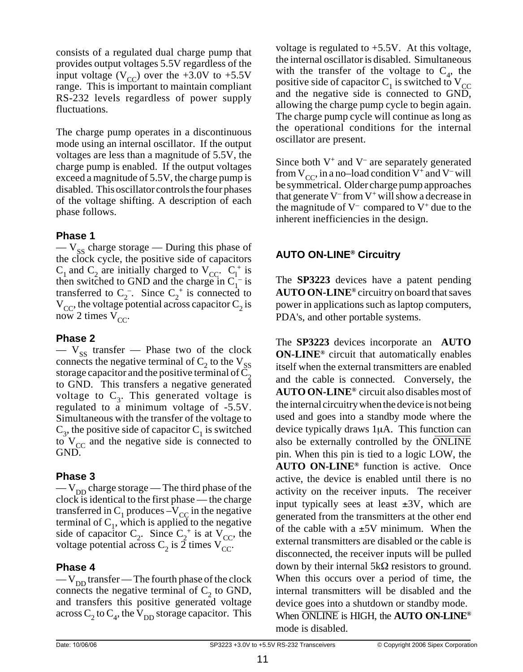consists of a regulated dual charge pump that provides output voltages 5.5V regardless of the input voltage ( $V_{CC}$ ) over the +3.0V to +5.5V range. This is important to maintain compliant RS-232 levels regardless of power supply fluctuations.

The charge pump operates in a discontinuous mode using an internal oscillator. If the output voltages are less than a magnitude of 5.5V, the charge pump is enabled. If the output voltages exceed a magnitude of 5.5V, the charge pump is disabled. This oscillator controls the four phases of the voltage shifting. A description of each phase follows.

# **Phase 1**

 $-V_{ss}$  charge storage — During this phase of the clock cycle, the positive side of capacitors  $C_1$  and  $C_2$  are initially charged to  $V_{CC}$ .  $C_1^+$  is then switched to GND and the charge in  $C_1^-$  is transferred to  $C_2^-$ . Since  $C_2^+$  is connected to  $V_{CC}$ , the voltage potential across capacitor  $C_2$  is now 2 times  $V_{CC}$ .

# **Phase 2**

 $-$  V<sub>SS</sub> transfer  $-$  Phase two of the clock connects the negative terminal of  $C_2$  to the  $V_{SS}$ storage capacitor and the positive terminal of  $C_2$ to GND. This transfers a negative generated voltage to  $C_3$ . This generated voltage is regulated to a minimum voltage of -5.5V. Simultaneous with the transfer of the voltage to  $C_3$ , the positive side of capacitor  $C_1$  is switched to  $V_{\text{CC}}$  and the negative side is connected to GND.

# **Phase 3**

 $-V_{DD}$  charge storage — The third phase of the clock is identical to the first phase — the charge transferred in  $C_1$  produces  $-V_{CC}$  in the negative terminal of  $C_1$ , which is applied to the negative side of capacitor  $C_2$ . Since  $C_2^+$  is at  $V_{CC}$ , the voltage potential across  $C_2$  is 2 times  $V_{CC}$ .

# **Phase 4**

 $-V_{DD}$  transfer — The fourth phase of the clock connects the negative terminal of  $C_2$  to GND, and transfers this positive generated voltage across C<sub>2</sub> to C<sub>4</sub>, the  $V_{DD}$  storage capacitor. This voltage is regulated to  $+5.5V$ . At this voltage, the internal oscillator is disabled. Simultaneous with the transfer of the voltage to  $C_4$ , the positive side of capacitor  $C_1$  is switched to  $V_{CC}$ and the negative side is connected to GND, allowing the charge pump cycle to begin again. The charge pump cycle will continue as long as the operational conditions for the internal oscillator are present.

Since both  $V^+$  and  $V^-$  are separately generated from  $V_{CC}$ , in a no–load condition  $V^+$  and  $V^-$  will be symmetrical. Older charge pump approaches that generate  $V^-$  from  $V^+$  will show a decrease in the magnitude of  $V^-$  compared to  $V^+$  due to the inherent inefficiencies in the design.

# **AUTO ON-LINE® Circuitry**

The **SP3223** devices have a patent pending **AUTO ON-LINE®** circuitry on board that saves power in applications such as laptop computers, PDA's, and other portable systems.

The **SP3223** devices incorporate an **AUTO ON-LINE®** circuit that automatically enables itself when the external transmitters are enabled and the cable is connected. Conversely, the **AUTO ON-LINE®** circuit also disables most of the internal circuitry when the device is not being used and goes into a standby mode where the device typically draws 1µA. This function can also be externally controlled by the ONLINE pin. When this pin is tied to a logic LOW, the **AUTO ON-LINE®** function is active. Once active, the device is enabled until there is no activity on the receiver inputs. The receiver input typically sees at least  $\pm 3V$ , which are generated from the transmitters at the other end of the cable with a  $\pm$ 5V minimum. When the external transmitters are disabled or the cable is disconnected, the receiver inputs will be pulled down by their internal 5kΩ resistors to ground. When this occurs over a period of time, the internal transmitters will be disabled and the device goes into a shutdown or standby mode. When ONLINE is HIGH, the **AUTO ON-LINE®** mode is disabled.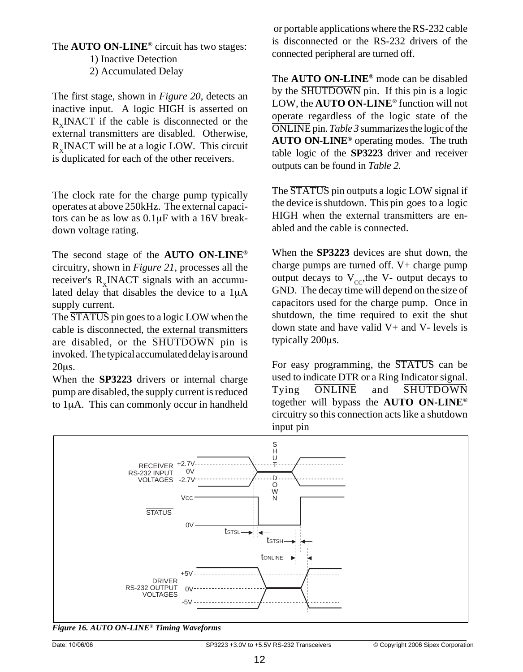#### The **AUTO ON-LINE®** circuit has two stages:

1) Inactive Detection 2) Accumulated Delay

The first stage, shown in *Figure 20*, detects an inactive input. A logic HIGH is asserted on  $R_v \text{INACT}$  if the cable is disconnected or the external transmitters are disabled. Otherwise,  $R_v$ INACT will be at a logic LOW. This circuit is duplicated for each of the other receivers.

The clock rate for the charge pump typically operates at above 250kHz. The external capacitors can be as low as 0.1µF with a 16V breakdown voltage rating.

The second stage of the **AUTO ON-LINE®** circuitry, shown in *Figure 21*, processes all the receiver's R<sub>v</sub>INACT signals with an accumulated delay that disables the device to a 1µA supply current.

The  $\overline{\text{STATUS}}$  pin goes to a logic LOW when the cable is disconnected, the external transmitters are disabled, or the SHUTDOWN pin is invoked. The typical accumulated delay is around 20µs.

When the **SP3223** drivers or internal charge pump are disabled, the supply current is reduced to 1µA. This can commonly occur in handheld

or portable applications where the RS-232 cable is disconnected or the RS-232 drivers of the connected peripheral are turned off.

The **AUTO ON-LINE®** mode can be disabled by the SHUTDOWN pin. If this pin is a logic LOW, the **AUTO ON-LINE®** function will not operate regardless of the logic state of the ONLINE pin. *Table 3* summarizes the logic of the **AUTO ON-LINE®** operating modes. The truth table logic of the **SP3223** driver and receiver outputs can be found in *Table 2.*

The STATUS pin outputs a logic LOW signal if the device is shutdown. This pin goes to a logic HIGH when the external transmitters are enabled and the cable is connected.

When the **SP3223** devices are shut down, the charge pumps are turned off. V+ charge pump output decays to  $V_{cc}$ , the V- output decays to GND. The decay time will depend on the size of capacitors used for the charge pump. Once in shutdown, the time required to exit the shut down state and have valid  $V<sub>+</sub>$  and  $V<sub>-</sub>$  levels is typically 200µs.

For easy programming, the STATUS can be used to indicate DTR or a Ring Indicator signal. Tying ONLINE and SHUTDOWN together will bypass the **AUTO ON-LINE®** circuitry so this connection acts like a shutdown input pin



*Figure 16. AUTO ON-LINE® Timing Waveforms*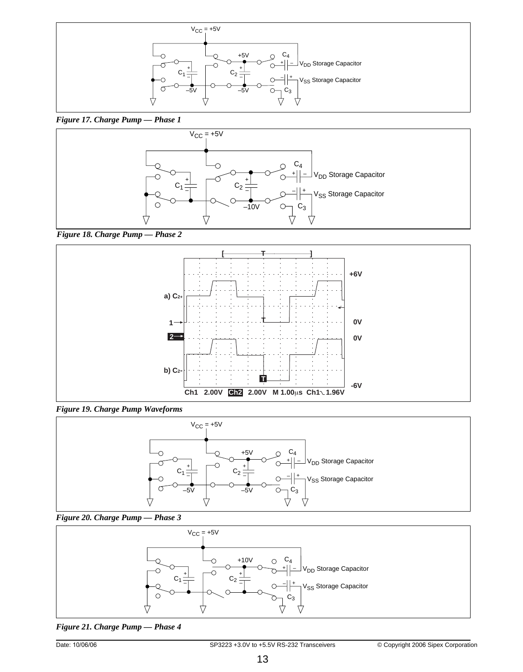

*Figure 17. Charge Pump — Phase 1*



*Figure 18. Charge Pump — Phase 2*



*Figure 19. Charge Pump Waveforms*







*Figure 21. Charge Pump — Phase 4*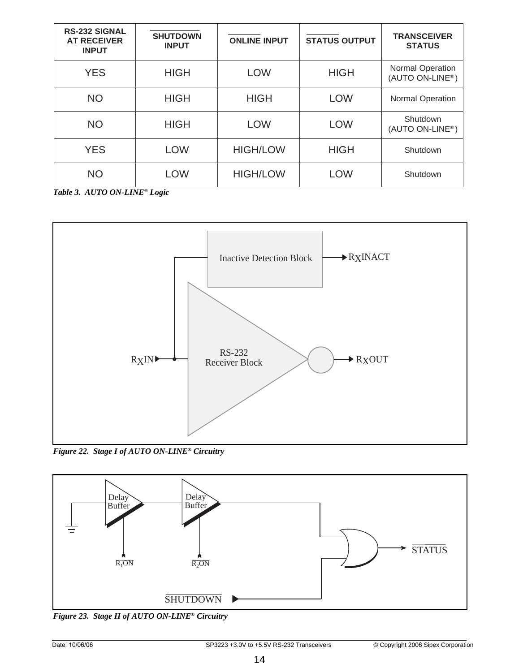| <b>RS-232 SIGNAL</b><br><b>AT RECEIVER</b><br><b>INPUT</b> | <b>SHUTDOWN</b><br><b>INPUT</b> | <b>ONLINE INPUT</b> | <b>STATUS OUTPUT</b> | <b>TRANSCEIVER</b><br><b>STATUS</b>                     |
|------------------------------------------------------------|---------------------------------|---------------------|----------------------|---------------------------------------------------------|
| <b>YES</b>                                                 | <b>HIGH</b>                     | <b>LOW</b>          | <b>HIGH</b>          | <b>Normal Operation</b><br>(AUTO ON-LINE <sup>®</sup> ) |
| NO.                                                        | <b>HIGH</b>                     | <b>HIGH</b>         | <b>LOW</b>           | <b>Normal Operation</b>                                 |
| NO.                                                        | <b>HIGH</b>                     | <b>LOW</b>          | <b>LOW</b>           | Shutdown<br>(AUTO ON-LINE®)                             |
| <b>YES</b>                                                 | <b>LOW</b>                      | <b>HIGH/LOW</b>     | <b>HIGH</b>          | Shutdown                                                |
| NO                                                         | <b>LOW</b>                      | <b>HIGH/LOW</b>     | <b>LOW</b>           | Shutdown                                                |

*Table 3. AUTO ON-LINE® Logic*



*Figure 22. Stage I of AUTO ON-LINE® Circuitry*



*Figure 23. Stage II of AUTO ON-LINE® Circuitry*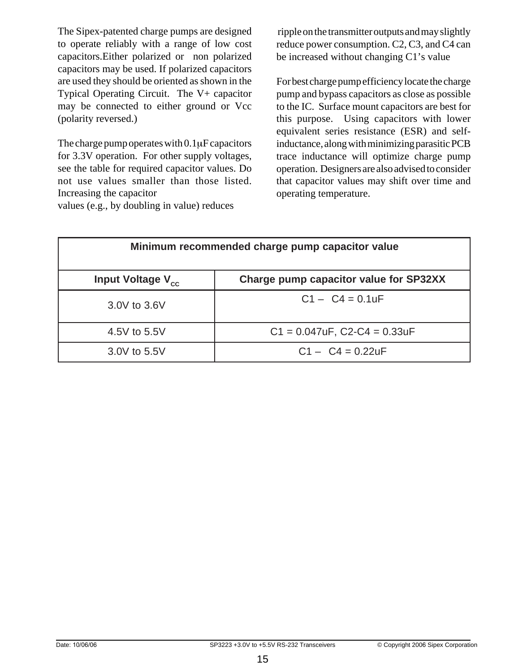The Sipex-patented charge pumps are designed to operate reliably with a range of low cost capacitors.Either polarized or non polarized capacitors may be used. If polarized capacitors are used they should be oriented as shown in the Typical Operating Circuit. The V+ capacitor may be connected to either ground or Vcc (polarity reversed.)

The charge pump operates with  $0.1\mu$ F capacitors for 3.3V operation. For other supply voltages, see the table for required capacitor values. Do not use values smaller than those listed. Increasing the capacitor

values (e.g., by doubling in value) reduces

ripple on the transmitter outputs and may slightly reduce power consumption. C2, C3, and C4 can be increased without changing C1's value

For best charge pump efficiency locate the charge pump and bypass capacitors as close as possible to the IC. Surface mount capacitors are best for this purpose. Using capacitors with lower equivalent series resistance (ESR) and selfinductance, along with minimizing parasitic PCB trace inductance will optimize charge pump operation. Designers are also advised to consider that capacitor values may shift over time and operating temperature.

| Minimum recommended charge pump capacitor value                         |                                   |  |  |  |  |
|-------------------------------------------------------------------------|-----------------------------------|--|--|--|--|
| Charge pump capacitor value for SP32XX<br>Input Voltage V <sub>cc</sub> |                                   |  |  |  |  |
| 3.0V to 3.6V                                                            | $C1 - C4 = 0.1$ uF                |  |  |  |  |
| 4.5V to 5.5V                                                            | $C1 = 0.047uF$ , $C2-C4 = 0.33uF$ |  |  |  |  |
| 3.0V to 5.5V                                                            | $C1 - C4 = 0.22$ uF               |  |  |  |  |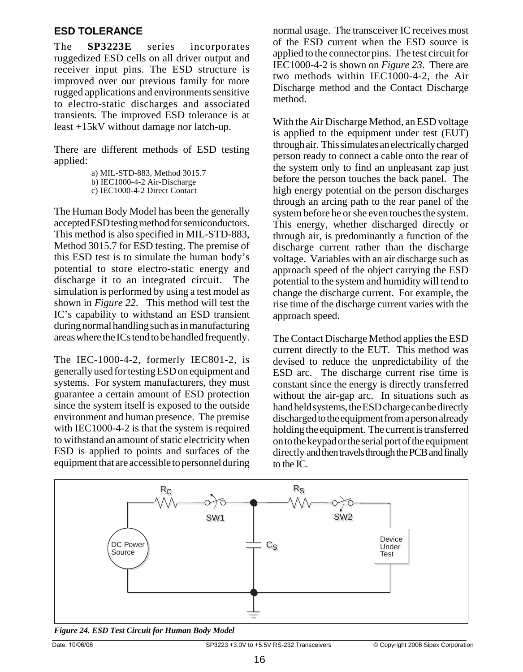# **ESD TOLERANCE**

The **SP3223E** series incorporates ruggedized ESD cells on all driver output and receiver input pins. The ESD structure is improved over our previous family for more rugged applications and environments sensitive to electro-static discharges and associated transients. The improved ESD tolerance is at least +15kV without damage nor latch-up.

There are different methods of ESD testing applied:

b) IEC1000-4-2 Air-Discharge

c) IEC1000-4-2 Direct Contact

The Human Body Model has been the generally accepted ESD testing method for semiconductors. This method is also specified in MIL-STD-883, Method 3015.7 for ESD testing. The premise of this ESD test is to simulate the human body's potential to store electro-static energy and discharge it to an integrated circuit. The simulation is performed by using a test model as shown in *Figure 22*. This method will test the IC's capability to withstand an ESD transient during normal handling such as in manufacturing areas where the ICs tend to be handled frequently.

The IEC-1000-4-2, formerly IEC801-2, is generally used for testing ESD on equipment and systems. For system manufacturers, they must guarantee a certain amount of ESD protection since the system itself is exposed to the outside environment and human presence. The premise with IEC1000-4-2 is that the system is required to withstand an amount of static electricity when ESD is applied to points and surfaces of the equipment that are accessible to personnel during normal usage. The transceiver IC receives most of the ESD current when the ESD source is applied to the connector pins. The test circuit for IEC1000-4-2 is shown on *Figure 23*. There are two methods within IEC1000-4-2, the Air Discharge method and the Contact Discharge method.

With the Air Discharge Method, an ESD voltage is applied to the equipment under test (EUT) through air. This simulates an electrically charged person ready to connect a cable onto the rear of the system only to find an unpleasant zap just before the person touches the back panel. The high energy potential on the person discharges through an arcing path to the rear panel of the system before he or she even touches the system. This energy, whether discharged directly or through air, is predominantly a function of the discharge current rather than the discharge voltage. Variables with an air discharge such as approach speed of the object carrying the ESD potential to the system and humidity will tend to change the discharge current. For example, the rise time of the discharge current varies with the approach speed.

The Contact Discharge Method applies the ESD current directly to the EUT. This method was devised to reduce the unpredictability of the ESD arc. The discharge current rise time is constant since the energy is directly transferred without the air-gap arc. In situations such as hand held systems, the ESD charge can be directly discharged to the equipment from a person already holding the equipment. The current is transferred on to the keypad or the serial port of the equipment directly and then travels through the PCB and finally to the IC.



*Figure 24. ESD Test Circuit for Human Body Model*

Date: 10/06/06 Spex Corporation SP3223 +3.0V to +5.5V RS-232 Transceivers © Copyright 2006 Sipex Corporation

a) MIL-STD-883, Method 3015.7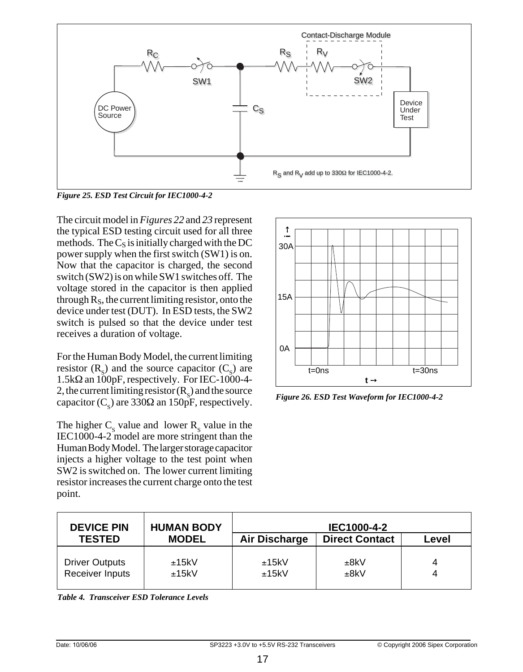

*Figure 25. ESD Test Circuit for IEC1000-4-2*

The circuit model in *Figures 22* and *23* represent the typical ESD testing circuit used for all three methods. The  $C_S$  is initially charged with the DC power supply when the first switch (SW1) is on. Now that the capacitor is charged, the second switch (SW2) is on while SW1 switches off. The voltage stored in the capacitor is then applied through  $R_s$ , the current limiting resistor, onto the device under test (DUT). In ESD tests, the SW2 switch is pulsed so that the device under test receives a duration of voltage.

For the Human Body Model, the current limiting resistor  $(R_s)$  and the source capacitor  $(C_s)$  are  $1.5k\Omega$  an  $100p$ F, respectively. For IEC-1000-4-2, the current limiting resistor  $(R_s)$  and the source capacitor ( $C_s$ ) are 330 $\Omega$  an 150pF, respectively.

The higher  $C_s$  value and lower  $R_s$  value in the IEC1000-4-2 model are more stringent than the Human Body Model. The larger storage capacitor injects a higher voltage to the test point when SW2 is switched on. The lower current limiting resistor increases the current charge onto the test point.



*Figure 26. ESD Test Waveform for IEC1000-4-2*

| <b>DEVICE PIN</b>                        | <b>HUMAN BODY</b> |                | IEC1000-4-2           |       |
|------------------------------------------|-------------------|----------------|-----------------------|-------|
| <b>TESTED</b>                            | <b>MODEL</b>      | Air Discharge  | <b>Direct Contact</b> | Level |
| <b>Driver Outputs</b><br>Receiver Inputs | ±15kV<br>±15kV    | ±15kV<br>±15kV | ±8kV<br>±8kV          | 4     |

*Table 4. Transceiver ESD Tolerance Levels*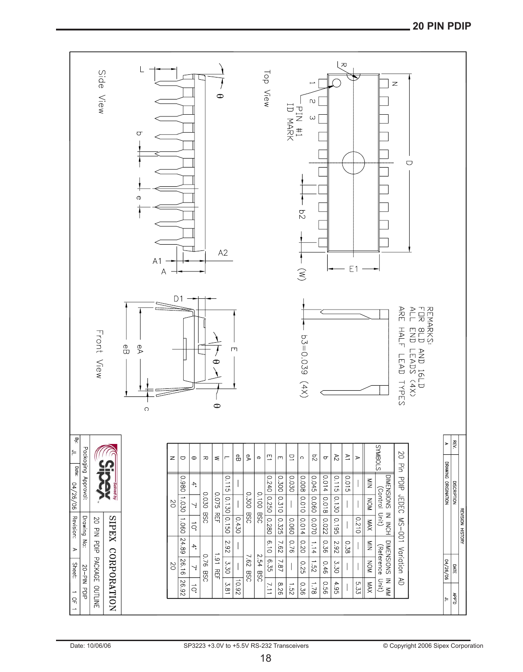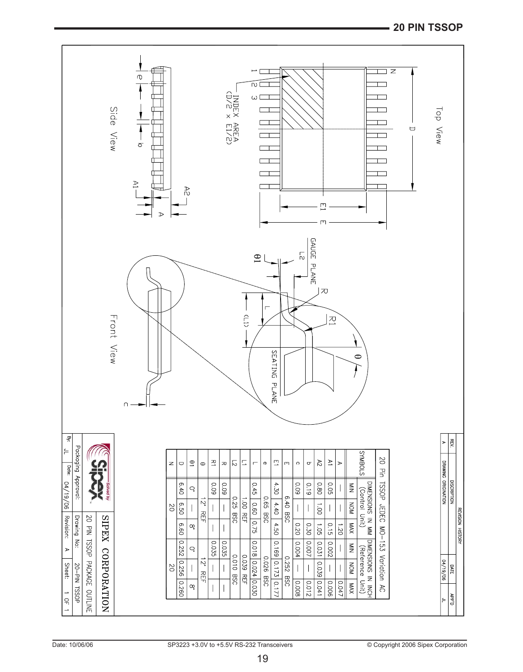#### **20 PIN TSSOP**

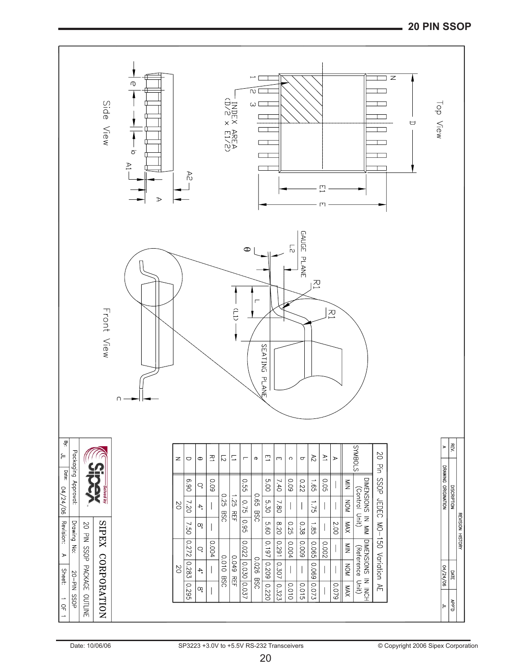#### **20 PIN SSOP**

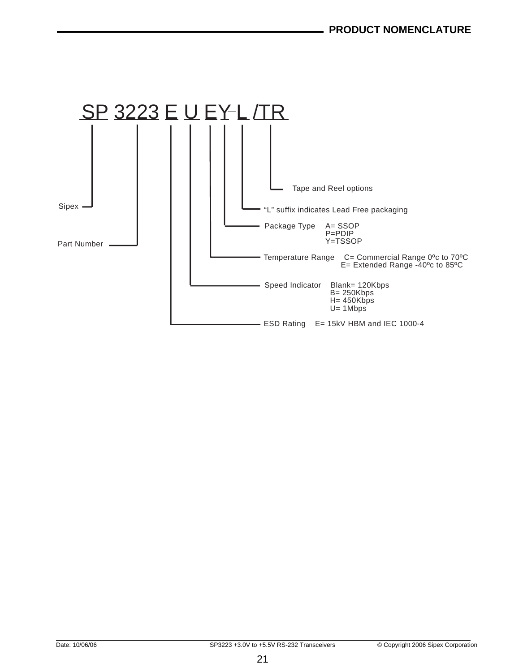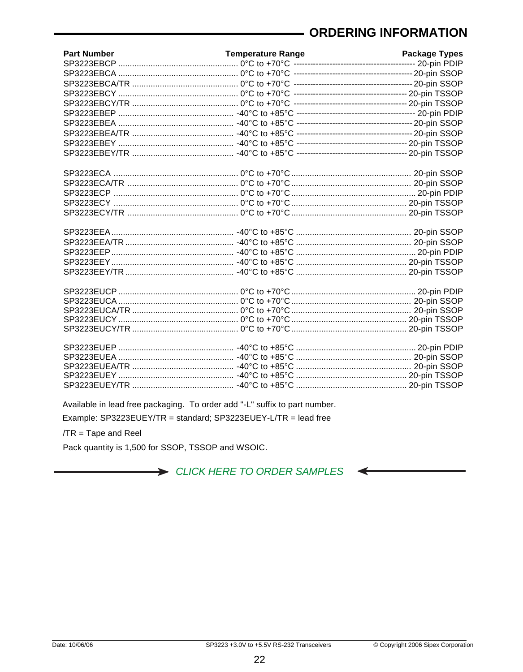# **ORDERING INFORMATION**

| <b>Part Number</b> | <b>Temperature Range</b> | <b>Package Types</b> |
|--------------------|--------------------------|----------------------|
|                    |                          |                      |
|                    |                          |                      |
|                    |                          |                      |
|                    |                          |                      |
|                    |                          |                      |
|                    |                          |                      |
|                    |                          |                      |
|                    |                          |                      |
|                    |                          |                      |
|                    |                          |                      |
|                    |                          |                      |
|                    |                          |                      |
|                    |                          |                      |
|                    |                          |                      |
|                    |                          |                      |
|                    |                          |                      |
|                    |                          |                      |
|                    |                          |                      |
|                    |                          |                      |
|                    |                          |                      |
|                    |                          |                      |
|                    |                          |                      |
|                    |                          |                      |
|                    |                          |                      |
|                    |                          |                      |
|                    |                          |                      |
|                    |                          |                      |
|                    |                          |                      |
|                    |                          |                      |
|                    |                          |                      |
|                    |                          |                      |
|                    |                          |                      |
|                    |                          |                      |

Available in lead free packaging. To order add "-L" suffix to part number.

Example: SP3223EUEY/TR = standard; SP3223EUEY-L/TR = lead free

 $/TR = Tape$  and Reel

Pack quantity is 1,500 for SSOP, TSSOP and WSOIC.

> CLICK HERE TO ORDER SAMPLES